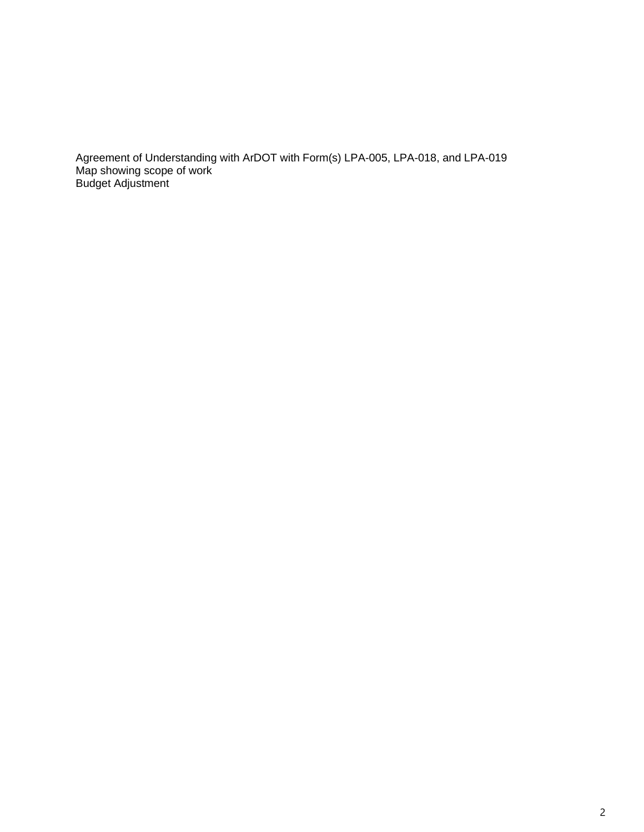**Attachments:**  SRF RTP Grant Award Cover Letter Agreement of Understanding with ArDOT with Form(s) LPA-005, LPA-018, and LPA-019 Map showing scope of work Budget Adjustment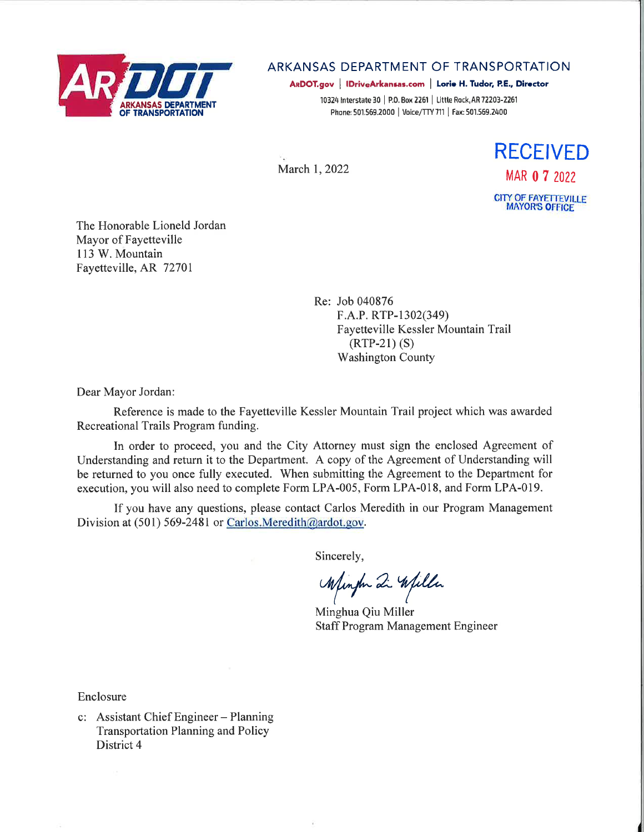

## ARKANSAS DEPARTMENT OF TRANSPORTATION

ARDOT.gov | IDriveArkansas.com | Lorie H. Tudor, P.E., Director

10324 Interstate 30 | P.O. Box 2261 | Little Rock, AR 72203-2261 Phone: 501.569.2000 | Voice/TTY 711 | Fax: 501.569.2400

March 1, 2022

**RECEIVED** MAR 0 7 2022 CITY OF FAYETTEVILLE<br>MAYOR'S OFFICE

The Honorable Lioneld Jordan Mayor of Favetteville 113 W. Mountain Fayetteville, AR 72701

> Re: Job 040876 F.A.P. RTP-1302(349) Fayetteville Kessler Mountain Trail  $(RTP-21) (S)$ **Washington County**

Dear Mayor Jordan:

Reference is made to the Fayetteville Kessler Mountain Trail project which was awarded Recreational Trails Program funding.

In order to proceed, you and the City Attorney must sign the enclosed Agreement of Understanding and return it to the Department. A copy of the Agreement of Understanding will be returned to you once fully executed. When submitting the Agreement to the Department for execution, you will also need to complete Form LPA-005, Form LPA-018, and Form LPA-019.

If you have any questions, please contact Carlos Meredith in our Program Management Division at (501) 569-2481 or Carlos. Meredith @ardot.gov.

Sincerely,

Mingh 2 Willer

Minghua Qiu Miller **Staff Program Management Engineer** 

Enclosure

c: Assistant Chief Engineer – Planning **Transportation Planning and Policy** District 4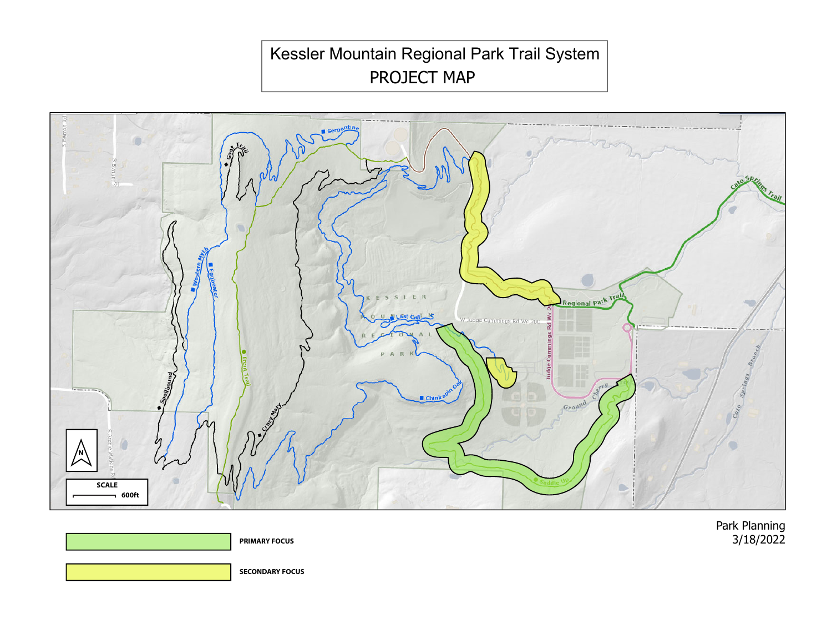# Kessler Mountain Regional Park Trail System PROJECT MAP



Park Planning 3/18/2022

**PRIMARY FOCUS**



**SECONDARY FOCUS**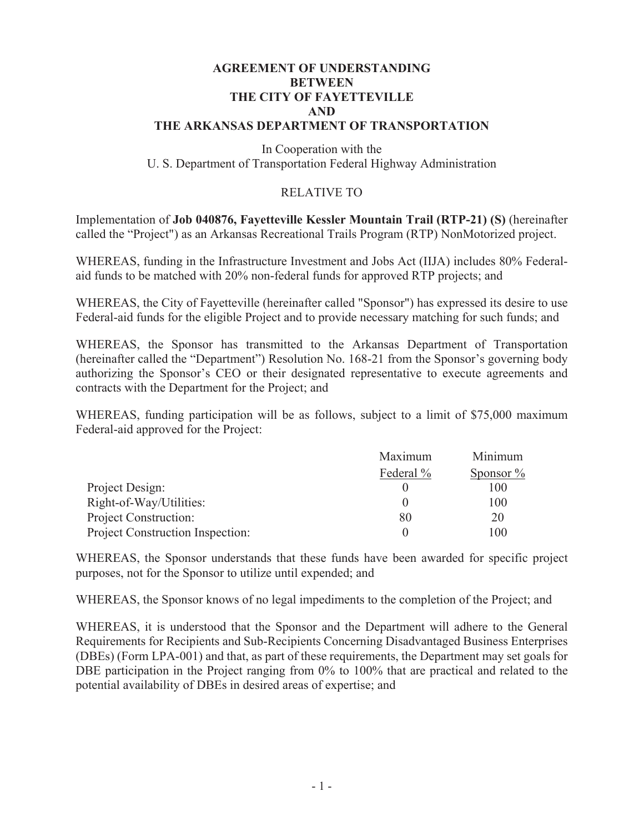#### **AGREEMENT OF UNDERSTANDING BETWEEN** THE CITY OF FAYETTEVILLE **AND** THE ARKANSAS DEPARTMENT OF TRANSPORTATION

In Cooperation with the U. S. Department of Transportation Federal Highway Administration

### **RELATIVE TO**

Implementation of Job 040876, Fayetteville Kessler Mountain Trail (RTP-21) (S) (hereinafter called the "Project") as an Arkansas Recreational Trails Program (RTP) NonMotorized project.

WHEREAS, funding in the Infrastructure Investment and Jobs Act (IIJA) includes 80% Federalaid funds to be matched with 20% non-federal funds for approved RTP projects; and

WHEREAS, the City of Fayetteville (hereinafter called "Sponsor") has expressed its desire to use Federal-aid funds for the eligible Project and to provide necessary matching for such funds; and

WHEREAS, the Sponsor has transmitted to the Arkansas Department of Transportation (hereinafter called the "Department") Resolution No. 168-21 from the Sponsor's governing body authorizing the Sponsor's CEO or their designated representative to execute agreements and contracts with the Department for the Project; and

WHEREAS, funding participation will be as follows, subject to a limit of \$75,000 maximum Federal-aid approved for the Project:

|                                         | Maximum   | Minimum      |
|-----------------------------------------|-----------|--------------|
|                                         | Federal % | Sponsor $\%$ |
| Project Design:                         |           | 100          |
| Right-of-Way/Utilities:                 |           | 100          |
| Project Construction:                   |           | 20           |
| <b>Project Construction Inspection:</b> |           | 100          |

WHEREAS, the Sponsor understands that these funds have been awarded for specific project purposes, not for the Sponsor to utilize until expended; and

WHEREAS, the Sponsor knows of no legal impediments to the completion of the Project; and

WHEREAS, it is understood that the Sponsor and the Department will adhere to the General Requirements for Recipients and Sub-Recipients Concerning Disadvantaged Business Enterprises (DBEs) (Form LPA-001) and that, as part of these requirements, the Department may set goals for DBE participation in the Project ranging from 0% to 100% that are practical and related to the potential availability of DBEs in desired areas of expertise; and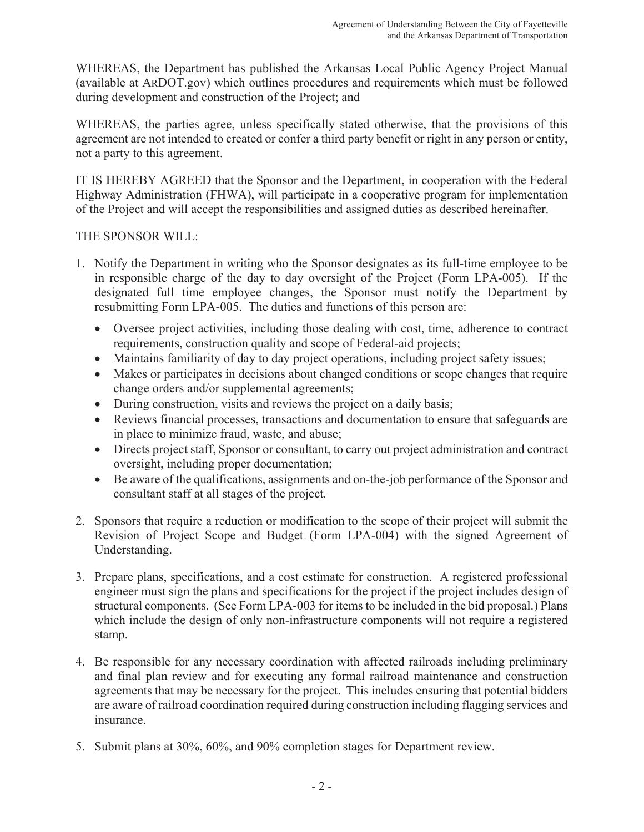WHEREAS, the Department has published the Arkansas Local Public Agency Project Manual (available at ARDOT.gov) which outlines procedures and requirements which must be followed during development and construction of the Project; and

WHEREAS, the parties agree, unless specifically stated otherwise, that the provisions of this agreement are not intended to created or confer a third party benefit or right in any person or entity, not a party to this agreement.

IT IS HEREBY AGREED that the Sponsor and the Department, in cooperation with the Federal Highway Administration (FHWA), will participate in a cooperative program for implementation of the Project and will accept the responsibilities and assigned duties as described hereinafter.

### THE SPONSOR WILL:

- 1. Notify the Department in writing who the Sponsor designates as its full-time employee to be in responsible charge of the day to day oversight of the Project (Form LPA-005). If the designated full time employee changes, the Sponsor must notify the Department by resubmitting Form LPA-005. The duties and functions of this person are:
	- Oversee project activities, including those dealing with cost, time, adherence to contract requirements, construction quality and scope of Federal-aid projects;
	- Maintains familiarity of day to day project operations, including project safety issues;
	- Makes or participates in decisions about changed conditions or scope changes that require change orders and/or supplemental agreements;
	- During construction, visits and reviews the project on a daily basis;
	- Reviews financial processes, transactions and documentation to ensure that safeguards are in place to minimize fraud, waste, and abuse;
	- Directs project staff, Sponsor or consultant, to carry out project administration and contract oversight, including proper documentation;
	- Be aware of the qualifications, assignments and on-the-job performance of the Sponsor and consultant staff at all stages of the project.
- 2. Sponsors that require a reduction or modification to the scope of their project will submit the Revision of Project Scope and Budget (Form LPA-004) with the signed Agreement of Understanding.
- 3. Prepare plans, specifications, and a cost estimate for construction. A registered professional engineer must sign the plans and specifications for the project if the project includes design of structural components. (See Form LPA-003 for items to be included in the bid proposal.) Plans which include the design of only non-infrastructure components will not require a registered stamp.
- 4. Be responsible for any necessary coordination with affected railroads including preliminary and final plan review and for executing any formal railroad maintenance and construction agreements that may be necessary for the project. This includes ensuring that potential bidders are aware of railroad coordination required during construction including flagging services and insurance.
- 5. Submit plans at 30%, 60%, and 90% completion stages for Department review.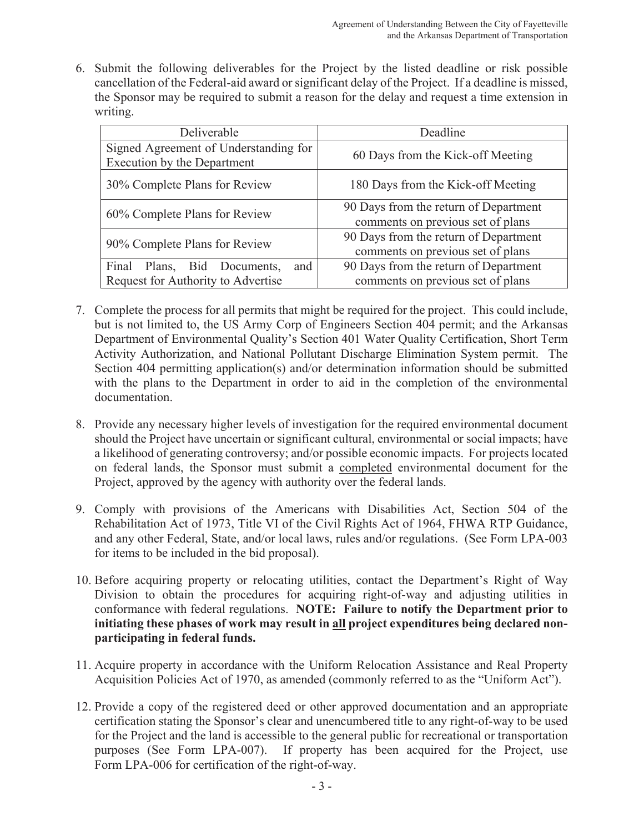6. Submit the following deliverables for the Project by the listed deadline or risk possible cancellation of the Federal-aid award or significant delay of the Project. If a deadline is missed, the Sponsor may be required to submit a reason for the delay and request a time extension in writing.

| Deliverable                                                          | Deadline                                                                   |  |
|----------------------------------------------------------------------|----------------------------------------------------------------------------|--|
| Signed Agreement of Understanding for<br>Execution by the Department | 60 Days from the Kick-off Meeting                                          |  |
| 30% Complete Plans for Review                                        | 180 Days from the Kick-off Meeting                                         |  |
| 60% Complete Plans for Review                                        | 90 Days from the return of Department<br>comments on previous set of plans |  |
| 90% Complete Plans for Review                                        | 90 Days from the return of Department<br>comments on previous set of plans |  |
| Final<br>Plans, Bid Documents,<br>and                                | 90 Days from the return of Department                                      |  |
| Request for Authority to Advertise                                   | comments on previous set of plans                                          |  |

- 7. Complete the process for all permits that might be required for the project. This could include, but is not limited to, the US Army Corp of Engineers Section 404 permit; and the Arkansas Department of Environmental Quality's Section 401 Water Quality Certification, Short Term Activity Authorization, and National Pollutant Discharge Elimination System permit. The Section 404 permitting application(s) and/or determination information should be submitted with the plans to the Department in order to aid in the completion of the environmental documentation.
- 8. Provide any necessary higher levels of investigation for the required environmental document should the Project have uncertain or significant cultural, environmental or social impacts; have a likelihood of generating controversy; and/or possible economic impacts. For projects located on federal lands, the Sponsor must submit a completed environmental document for the Project, approved by the agency with authority over the federal lands.
- 9. Comply with provisions of the Americans with Disabilities Act, Section 504 of the Rehabilitation Act of 1973, Title VI of the Civil Rights Act of 1964, FHWA RTP Guidance, and any other Federal, State, and/or local laws, rules and/or regulations. (See Form LPA-003 for items to be included in the bid proposal).
- 10. Before acquiring property or relocating utilities, contact the Department's Right of Way Division to obtain the procedures for acquiring right-of-way and adjusting utilities in conformance with federal regulations. NOTE: Failure to notify the Department prior to initiating these phases of work may result in all project expenditures being declared nonparticipating in federal funds.
- 11. Acquire property in accordance with the Uniform Relocation Assistance and Real Property Acquisition Policies Act of 1970, as amended (commonly referred to as the "Uniform Act").
- 12. Provide a copy of the registered deed or other approved documentation and an appropriate certification stating the Sponsor's clear and unencumbered title to any right-of-way to be used for the Project and the land is accessible to the general public for recreational or transportation purposes (See Form LPA-007). If property has been acquired for the Project, use Form LPA-006 for certification of the right-of-way.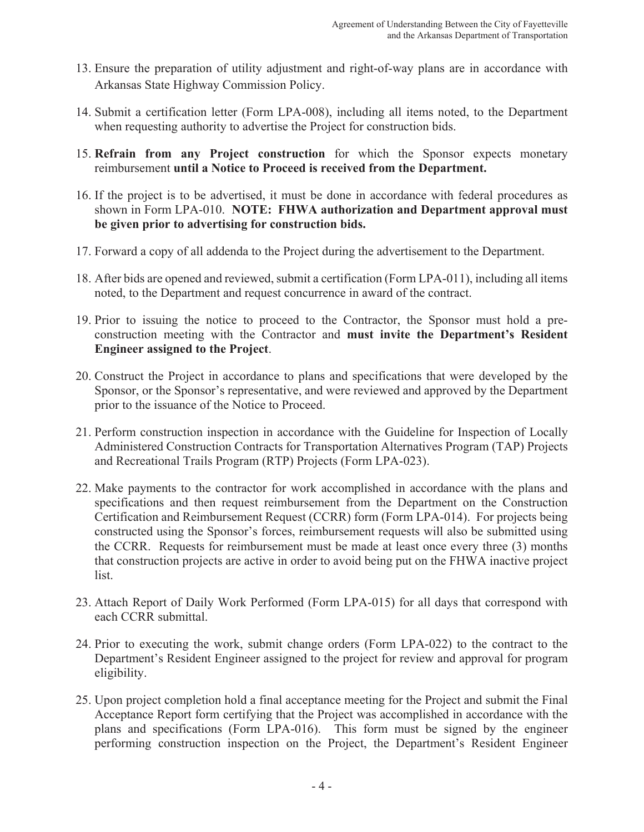- 13. Ensure the preparation of utility adjustment and right-of-way plans are in accordance with Arkansas State Highway Commission Policy.
- 14. Submit a certification letter (Form LPA-008), including all items noted, to the Department when requesting authority to advertise the Project for construction bids.
- 15. Refrain from any Project construction for which the Sponsor expects monetary reimbursement until a Notice to Proceed is received from the Department.
- 16. If the project is to be advertised, it must be done in accordance with federal procedures as shown in Form LPA-010. NOTE: FHWA authorization and Department approval must be given prior to advertising for construction bids.
- 17. Forward a copy of all addenda to the Project during the advertisement to the Department.
- 18. After bids are opened and reviewed, submit a certification (Form LPA-011), including all items noted, to the Department and request concurrence in award of the contract.
- 19. Prior to issuing the notice to proceed to the Contractor, the Sponsor must hold a preconstruction meeting with the Contractor and must invite the Department's Resident **Engineer assigned to the Project.**
- 20. Construct the Project in accordance to plans and specifications that were developed by the Sponsor, or the Sponsor's representative, and were reviewed and approved by the Department prior to the issuance of the Notice to Proceed.
- 21. Perform construction inspection in accordance with the Guideline for Inspection of Locally Administered Construction Contracts for Transportation Alternatives Program (TAP) Projects and Recreational Trails Program (RTP) Projects (Form LPA-023).
- 22. Make payments to the contractor for work accomplished in accordance with the plans and specifications and then request reimbursement from the Department on the Construction Certification and Reimbursement Request (CCRR) form (Form LPA-014). For projects being constructed using the Sponsor's forces, reimbursement requests will also be submitted using the CCRR. Requests for reimbursement must be made at least once every three (3) months that construction projects are active in order to avoid being put on the FHWA inactive project list.
- 23. Attach Report of Daily Work Performed (Form LPA-015) for all days that correspond with each CCRR submittal.
- 24. Prior to executing the work, submit change orders (Form LPA-022) to the contract to the Department's Resident Engineer assigned to the project for review and approval for program eligibility.
- 25. Upon project completion hold a final acceptance meeting for the Project and submit the Final Acceptance Report form certifying that the Project was accomplished in accordance with the plans and specifications (Form LPA-016). This form must be signed by the engineer performing construction inspection on the Project, the Department's Resident Engineer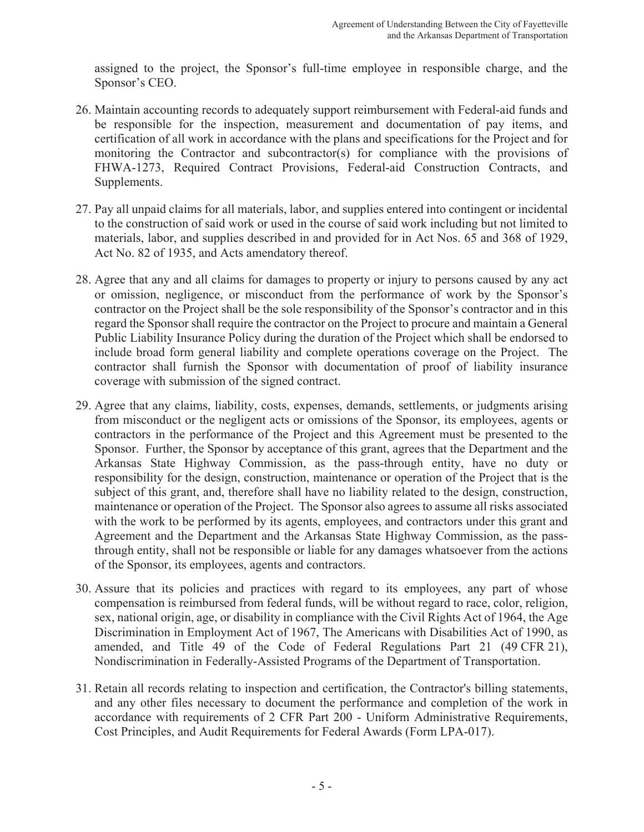assigned to the project, the Sponsor's full-time employee in responsible charge, and the Sponsor's CEO.

- 26. Maintain accounting records to adequately support reimbursement with Federal-aid funds and be responsible for the inspection, measurement and documentation of pay items, and certification of all work in accordance with the plans and specifications for the Project and for monitoring the Contractor and subcontractor(s) for compliance with the provisions of FHWA-1273, Required Contract Provisions, Federal-aid Construction Contracts, and Supplements.
- 27. Pay all unpaid claims for all materials, labor, and supplies entered into contingent or incidental to the construction of said work or used in the course of said work including but not limited to materials, labor, and supplies described in and provided for in Act Nos. 65 and 368 of 1929, Act No. 82 of 1935, and Acts amendatory thereof.
- 28. Agree that any and all claims for damages to property or injury to persons caused by any act or omission, negligence, or misconduct from the performance of work by the Sponsor's contractor on the Project shall be the sole responsibility of the Sponsor's contractor and in this regard the Sponsor shall require the contractor on the Project to procure and maintain a General Public Liability Insurance Policy during the duration of the Project which shall be endorsed to include broad form general liability and complete operations coverage on the Project. The contractor shall furnish the Sponsor with documentation of proof of liability insurance coverage with submission of the signed contract.
- 29. Agree that any claims, liability, costs, expenses, demands, settlements, or judgments arising from misconduct or the negligent acts or omissions of the Sponsor, its employees, agents or contractors in the performance of the Project and this Agreement must be presented to the Sponsor. Further, the Sponsor by acceptance of this grant, agrees that the Department and the Arkansas State Highway Commission, as the pass-through entity, have no duty or responsibility for the design, construction, maintenance or operation of the Project that is the subject of this grant, and, therefore shall have no liability related to the design, construction, maintenance or operation of the Project. The Sponsor also agrees to assume all risks associated with the work to be performed by its agents, employees, and contractors under this grant and Agreement and the Department and the Arkansas State Highway Commission, as the passthrough entity, shall not be responsible or liable for any damages whatsoever from the actions of the Sponsor, its employees, agents and contractors.
- 30. Assure that its policies and practices with regard to its employees, any part of whose compensation is reimbursed from federal funds, will be without regard to race, color, religion, sex, national origin, age, or disability in compliance with the Civil Rights Act of 1964, the Age Discrimination in Employment Act of 1967, The Americans with Disabilities Act of 1990, as amended, and Title 49 of the Code of Federal Regulations Part 21 (49 CFR 21), Nondiscrimination in Federally-Assisted Programs of the Department of Transportation.
- 31. Retain all records relating to inspection and certification, the Contractor's billing statements, and any other files necessary to document the performance and completion of the work in accordance with requirements of 2 CFR Part 200 - Uniform Administrative Requirements, Cost Principles, and Audit Requirements for Federal Awards (Form LPA-017).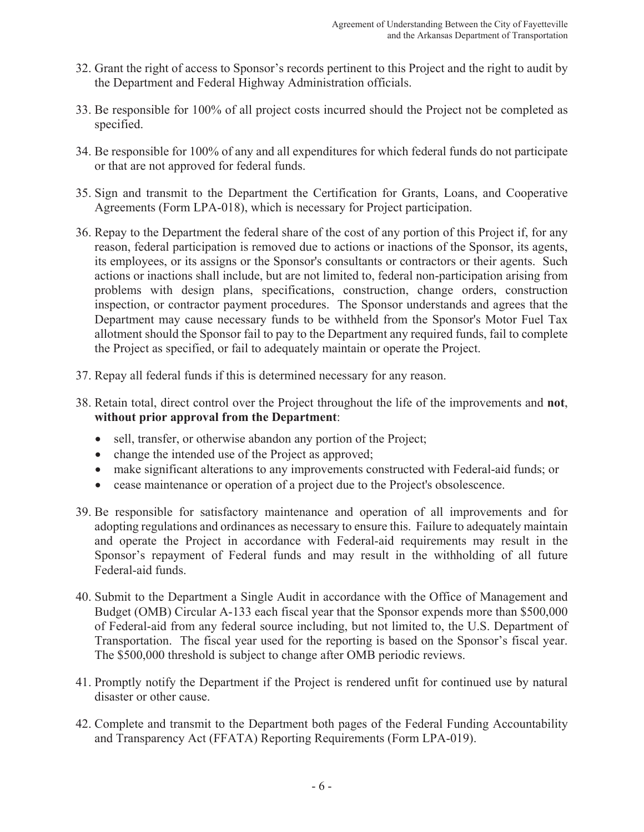- 32. Grant the right of access to Sponsor's records pertinent to this Project and the right to audit by the Department and Federal Highway Administration officials.
- 33. Be responsible for 100% of all project costs incurred should the Project not be completed as specified.
- 34. Be responsible for 100% of any and all expenditures for which federal funds do not participate or that are not approved for federal funds.
- 35. Sign and transmit to the Department the Certification for Grants, Loans, and Cooperative Agreements (Form LPA-018), which is necessary for Project participation.
- 36. Repay to the Department the federal share of the cost of any portion of this Project if, for any reason, federal participation is removed due to actions or inactions of the Sponsor, its agents, its employees, or its assigns or the Sponsor's consultants or contractors or their agents. Such actions or inactions shall include, but are not limited to, federal non-participation arising from problems with design plans, specifications, construction, change orders, construction inspection, or contractor payment procedures. The Sponsor understands and agrees that the Department may cause necessary funds to be withheld from the Sponsor's Motor Fuel Tax allotment should the Sponsor fail to pay to the Department any required funds, fail to complete the Project as specified, or fail to adequately maintain or operate the Project.
- 37. Repay all federal funds if this is determined necessary for any reason.
- 38. Retain total, direct control over the Project throughout the life of the improvements and not, without prior approval from the Department:
	- sell, transfer, or otherwise abandon any portion of the Project;
	- change the intended use of the Project as approved;
	- make significant alterations to any improvements constructed with Federal-aid funds; or
	- cease maintenance or operation of a project due to the Project's obsolescence.
- 39. Be responsible for satisfactory maintenance and operation of all improvements and for adopting regulations and ordinances as necessary to ensure this. Failure to adequately maintain and operate the Project in accordance with Federal-aid requirements may result in the Sponsor's repayment of Federal funds and may result in the withholding of all future Federal-aid funds.
- 40. Submit to the Department a Single Audit in accordance with the Office of Management and Budget (OMB) Circular A-133 each fiscal year that the Sponsor expends more than \$500,000 of Federal-aid from any federal source including, but not limited to, the U.S. Department of Transportation. The fiscal year used for the reporting is based on the Sponsor's fiscal year. The \$500,000 threshold is subject to change after OMB periodic reviews.
- 41. Promptly notify the Department if the Project is rendered unfit for continued use by natural disaster or other cause.
- 42. Complete and transmit to the Department both pages of the Federal Funding Accountability and Transparency Act (FFATA) Reporting Requirements (Form LPA-019).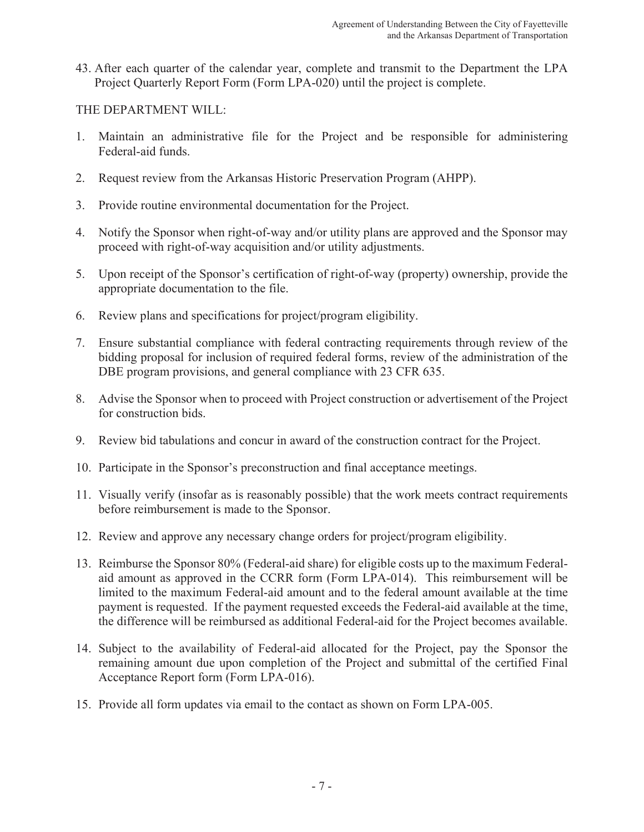43. After each quarter of the calendar year, complete and transmit to the Department the LPA Project Quarterly Report Form (Form LPA-020) until the project is complete.

THE DEPARTMENT WILL:

- 1. Maintain an administrative file for the Project and be responsible for administering Federal-aid funds.
- 2. Request review from the Arkansas Historic Preservation Program (AHPP).
- 3. Provide routine environmental documentation for the Project.
- 4. Notify the Sponsor when right-of-way and/or utility plans are approved and the Sponsor may proceed with right-of-way acquisition and/or utility adjustments.
- 5. Upon receipt of the Sponsor's certification of right-of-way (property) ownership, provide the appropriate documentation to the file.
- 6. Review plans and specifications for project/program eligibility.
- 7. Ensure substantial compliance with federal contracting requirements through review of the bidding proposal for inclusion of required federal forms, review of the administration of the DBE program provisions, and general compliance with 23 CFR 635.
- 8. Advise the Sponsor when to proceed with Project construction or advertisement of the Project for construction bids.
- 9. Review bid tabulations and concur in award of the construction contract for the Project.
- 10. Participate in the Sponsor's preconstruction and final acceptance meetings.
- 11. Visually verify (insofar as is reasonably possible) that the work meets contract requirements before reimbursement is made to the Sponsor.
- 12. Review and approve any necessary change orders for project/program eligibility.
- 13. Reimburse the Sponsor 80% (Federal-aid share) for eligible costs up to the maximum Federalaid amount as approved in the CCRR form (Form LPA-014). This reimbursement will be limited to the maximum Federal-aid amount and to the federal amount available at the time payment is requested. If the payment requested exceeds the Federal-aid available at the time, the difference will be reimbursed as additional Federal-aid for the Project becomes available.
- 14. Subject to the availability of Federal-aid allocated for the Project, pay the Sponsor the remaining amount due upon completion of the Project and submittal of the certified Final Acceptance Report form (Form LPA-016).
- 15. Provide all form updates via email to the contact as shown on Form LPA-005.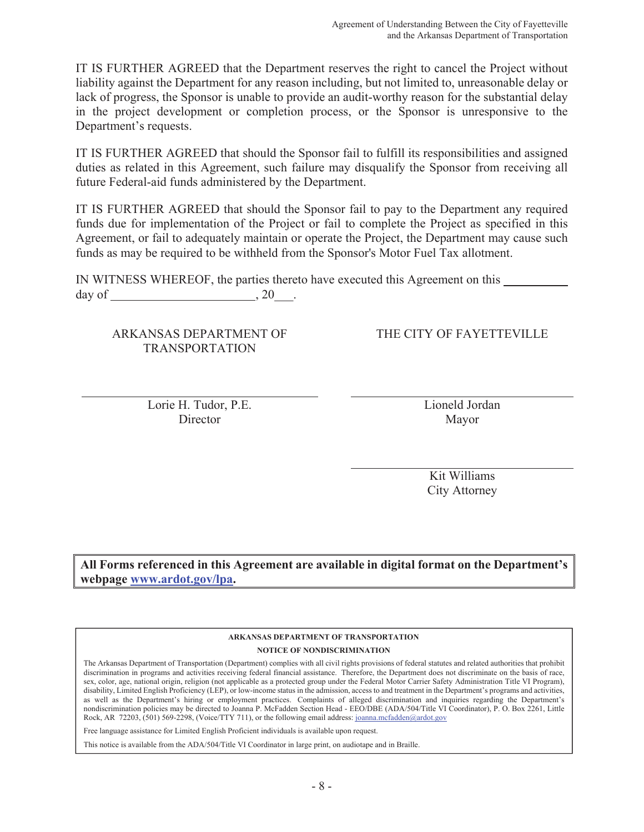IT IS FURTHER AGREED that the Department reserves the right to cancel the Project without liability against the Department for any reason including, but not limited to, unreasonable delay or lack of progress, the Sponsor is unable to provide an audit-worthy reason for the substantial delay in the project development or completion process, or the Sponsor is unresponsive to the Department's requests.

IT IS FURTHER AGREED that should the Sponsor fail to fulfill its responsibilities and assigned duties as related in this Agreement, such failure may disqualify the Sponsor from receiving all future Federal-aid funds administered by the Department.

IT IS FURTHER AGREED that should the Sponsor fail to pay to the Department any required funds due for implementation of the Project or fail to complete the Project as specified in this Agreement, or fail to adequately maintain or operate the Project, the Department may cause such funds as may be required to be withheld from the Sponsor's Motor Fuel Tax allotment.

|        | IN WITNESS WHEREOF, the parties thereto have executed this Agreement on this |  |
|--------|------------------------------------------------------------------------------|--|
| day of |                                                                              |  |

ARKANSAS DEPARTMENT OF **TRANSPORTATION** 

THE CITY OF FAYETTEVILLE

Lorie H. Tudor, P.E. Director

Lioneld Jordan Mayor

Kit Williams **City Attorney** 

All Forms referenced in this Agreement are available in digital format on the Department's webpage www.ardot.gov/lpa.

#### **ARKANSAS DEPARTMENT OF TRANSPORTATION NOTICE OF NONDISCRIMINATION**

The Arkansas Department of Transportation (Department) complies with all civil rights provisions of federal statutes and related authorities that prohibit discrimination in programs and activities receiving federal financial assistance. Therefore, the Department does not discriminate on the basis of race, sex, color, age, national origin, religion (not applicable as a protected group under the Federal Motor Carrier Safety Administration Title VI Program), disability, Limited English Proficiency (LEP), or low-income status in the admission, access to and treatment in the Department's programs and activities, as well as the Department's hiring or employment practices. Complaints of alleged discrimination and inquiries regarding the Department's nondiscrimination policies may be directed to Joanna P. McFadden Section Head - EEO/DBE (ADA/504/Title VI Coordinator), P. O. Box 2261, Little Rock, AR 72203, (501) 569-2298, (Voice/TTY 711), or the following email address: joanna.mcfadden@ardot.gov

Free language assistance for Limited English Proficient individuals is available upon request.

This notice is available from the ADA/504/Title VI Coordinator in large print, on audiotape and in Braille.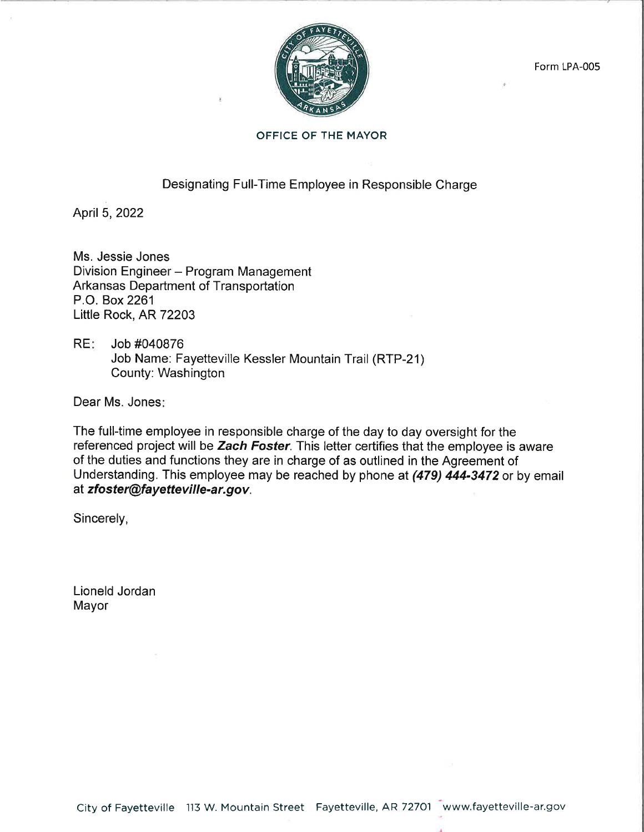Form LPA-005



#### OFFICE OF THE MAYOR

# Designating Full-Time Employee in Responsible Charge

April 5, 2022

Ms. Jessie Jones Division Engineer - Program Management Arkansas Department of Transportation P.O. Box 2261 Little Rock, AR 72203

RE: Job #040876 Job Name: Fayetteville Kessler Mountain Trail (RTP-21) County: Washington

Dear Ms. Jones:

The full-time employee in responsible charge of the day to day oversight for the referenced project will be Zach Foster. This letter certifies that the employee is aware of the duties and functions they are in charge of as outlined in the Agreement of Understanding. This employee may be reached by phone at (479) 444-3472 or by email at zfoster@fayetteville-ar.gov.

Sincerely,

Lioneld Jordan Mayor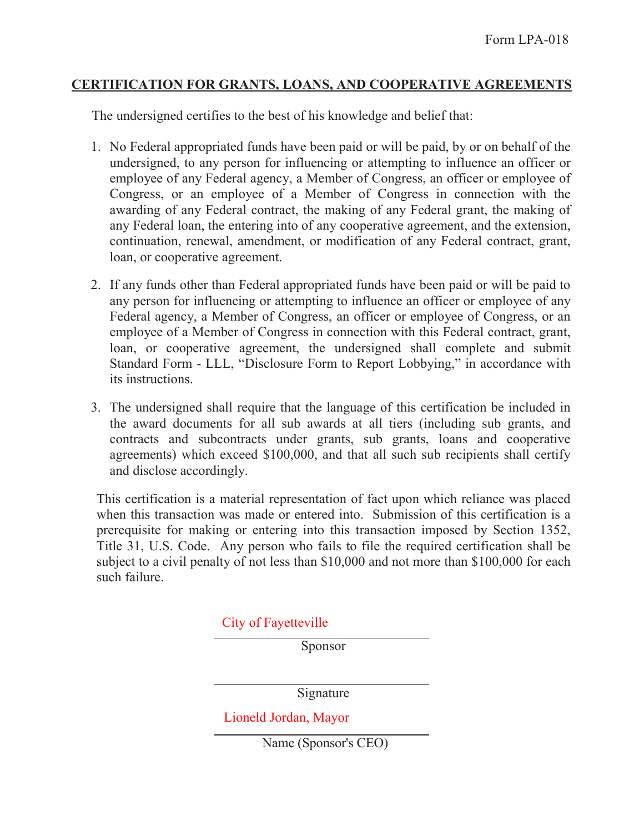# **CERTIFICATION FOR GRANTS, LOANS, AND COOPERATIVE AGREEMENTS**

The undersigned certifies to the best of his knowledge and belief that:

- 1. No Federal appropriated funds have been paid or will be paid, by or on behalf of the undersigned, to any person for influencing or attempting to influence an officer or employee of any Federal agency, a Member of Congress, an officer or employee of Congress, or an employee of a Member of Congress in connection with the awarding of any Federal contract, the making of any Federal grant, the making of any Federal loan, the entering into of any cooperative agreement, and the extension, continuation, renewal, amendment, or modification of any Federal contract, grant, loan, or cooperative agreement.
- 2. If any funds other than Federal appropriated funds have been paid or will be paid to any person for influencing or attempting to influence an officer or employee of any Federal agency, a Member of Congress, an officer or employee of Congress, or an employee of a Member of Congress in connection with this Federal contract, grant, loan, or cooperative agreement, the undersigned shall complete and submit Standard Form - LLL, "Disclosure Form to Report Lobbying," in accordance with its instructions.
- 3. The undersigned shall require that the language of this certification be included in the award documents for all sub awards at all tiers (including sub grants, and contracts and subcontracts under grants, sub grants, loans and cooperative agreements) which exceed \$100,000, and that all such sub recipients shall certify and disclose accordingly.

This certification is a material representation of fact upon which reliance was placed when this transaction was made or entered into. Submission of this certification is a prerequisite for making or entering into this transaction imposed by Section 1352, Title 31, U.S. Code. Any person who fails to file the required certification shall be subject to a civil penalty of not less than \$10,000 and not more than \$100,000 for each such failure.

| City of Fayetteville  |
|-----------------------|
| Sponsor               |
|                       |
| Signature             |
|                       |
| Lioneld Jordan, Mayor |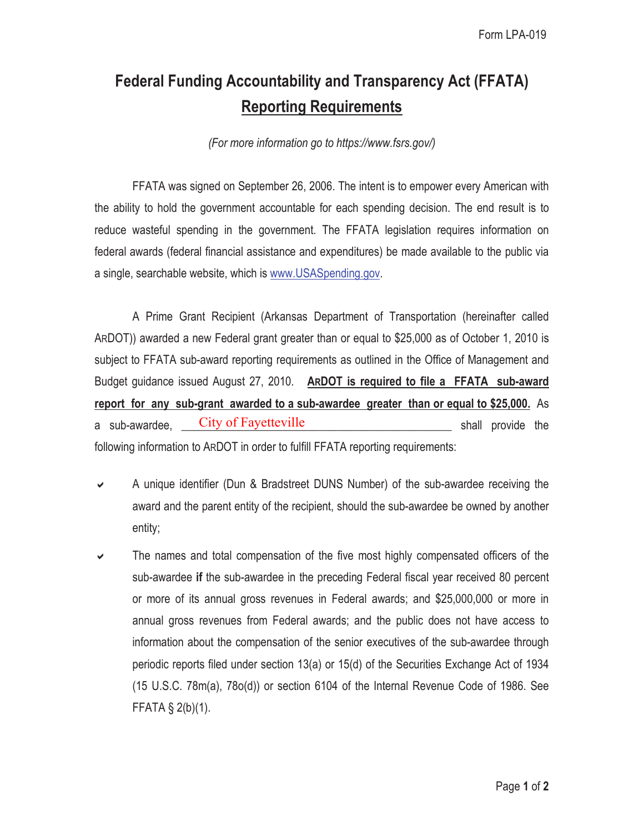# **Federal Funding Accountability and Transparency Act (FFATA) Reporting Requirements**

*(For more information go to https://www.fsrs.gov/)*

FFATA was signed on September 26, 2006. The intent is to empower every American with the ability to hold the government accountable for each spending decision. The end result is to reduce wasteful spending in the government. The FFATA legislation requires information on federal awards (federal financial assistance and expenditures) be made available to the public via a single, searchable website, which is www.USASpending.gov.

A Prime Grant Recipient (Arkansas Department of Transportation (hereinafter called ARDOT)) awarded a new Federal grant greater than or equal to \$25,000 as of October 1, 2010 is subject to FFATA sub-award reporting requirements as outlined in the Office of Management and Budget guidance issued August 27, 2010. **ARDOT is required to file a FFATA sub-award report for any sub-grant awarded to a sub-awardee greater than or equal to \$25,000.** As a sub-awardee, <u>City of Fayetteville entitle and the shall</u> provide the following information to ARDOT in order to fulfill FFATA reporting requirements:

- $\sim$  A unique identifier (Dun & Bradstreet DUNS Number) of the sub-awardee receiving the award and the parent entity of the recipient, should the sub-awardee be owned by another entity;
- $\sim$  The names and total compensation of the five most highly compensated officers of the sub-awardee **if** the sub-awardee in the preceding Federal fiscal year received 80 percent or more of its annual gross revenues in Federal awards; and \$25,000,000 or more in annual gross revenues from Federal awards; and the public does not have access to information about the compensation of the senior executives of the sub-awardee through periodic reports filed under section 13(a) or 15(d) of the Securities Exchange Act of 1934 (15 U.S.C. 78m(a), 78o(d)) or section 6104 of the Internal Revenue Code of 1986. See FFATA § 2(b)(1).